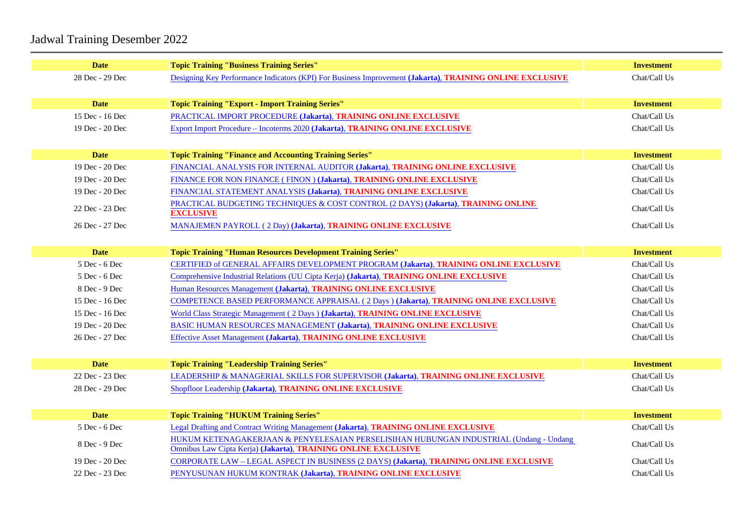## Jadwal Training Desember 2022

| <b>Date</b>     | <b>Topic Training "Business Training Series"</b>                                            | Investment   |
|-----------------|---------------------------------------------------------------------------------------------|--------------|
| 28 Dec - 29 Dec | Designing Key Performance Indicators (KPI) For Business Improve(d) and the ONLINE EXCLUSIVE | Chat/Call Us |
|                 |                                                                                             |              |
| <b>Date</b>     | Topic Training "Export - Import Training Series"                                            | Investment   |
| 15 Dec - 16 Dec | PRACTICAL IMPORT PROCEDUREJakarta), TRAINING ONLINE EXCLUSIVE                               | Chat/Call Us |
| 19 Dec - 20 Dec | Export Import Procedure - Incoterms 2028karta), TRAINING ONLINE EXCLUSIVE                   | Chat/Call Us |
|                 |                                                                                             |              |
| <b>Date</b>     | Topic Training "Finance and Accounting Training Series"                                     | Investment   |
| 19 Dec - 20 Dec | FINANCIAL ANALYSIS FOR INTERNAL AUDITOR (Jakarta), TRAINING ONLINE EXCLUSIVE                | Chat/Call Us |
| 19 Dec - 20 Dec | FINANCE FOR NON FINANCE (FINON JJakarta), TRAINING ONLINE EXCLUSIVE                         | Chat/Call Us |
| 19 Dec - 20 Dec | FINANCIAL STATEMENT ANALYSIS (Jakarta), TRAINING ONLINE EXCLUSIVE                           | Chat/Call Us |
|                 | PRACTICAL BUDGETING TECHNIQUES & COST CONTROL (2 DAY S) akarta), TRAINING ONLINE            | Chat/Call Us |
| 22 Dec - 23 Dec | <b>EXCLUSIVE</b>                                                                            |              |
| 26 Dec - 27 Dec | MANAJEMEN PAYROLL (2 Day)(Jakarta), TRAINING ONLINE EXCLUSIVE                               | Chat/Call Us |
|                 |                                                                                             |              |
| <b>Date</b>     | Topic Training "Human Resources Development Training Series"                                | Investment   |
| 5 Dec - 6 Dec   | CERTIFIED of GENERAL AFFAIRS DEVELOPMENT PROGRAM akarta), TRAINING ONLINE EXCLUSIVE         | Chat/Call Us |
| 5 Dec - 6 Dec   | Comprehensive Industrial Relations (UU Cipta Keria) karta), TRAINING ONLINE EXCLUSIVE       | Chat/Call Us |
| 8 Dec - 9 Dec   | Human Resources Managemetakarta), TRAINING ONLINE EXCLUSIVE                                 | Chat/Call Us |
| 15 Dec - 16 Dec | COMPETENCE BASED PERFORMANCE APPRAISAL (2 DaySJ&karta), TRAINING ONLINE EXCLUSIVE           | Chat/Call Us |
| 15 Dec - 16 Dec | World Class Strategic Management (2 Da(sakarta), TRAINING ONLINE EXCLUSIVE                  | Chat/Call Us |
| 19 Dec - 20 Dec | BASIC HUMAN RESOURCES MANAGEMENT Jakarta), TRAINING ONLINE EXCLUSIVE                        | Chat/Call Us |
| 26 Dec - 27 Dec | Effective Asset Manageme(takarta), TRAINING ONLINE EXCLUSIVE                                | Chat/Call Us |
|                 |                                                                                             |              |
| <b>Date</b>     | <b>Topic Training "Leadership Training Series"</b>                                          | Investment   |
| 22 Dec - 23 Dec | LEADERSHIP & MANAGERIAL SKILLS FOR SUPERVISORJakarta), TRAINING ONLINE EXCLUSIVE            | Chat/Call Us |
| 28 Dec - 29 Dec | Shopfloor Leadershiplakarta), TRAINING ONLINE EXCLUSIVE                                     | Chat/Call Us |
|                 |                                                                                             |              |
| <b>Date</b>     | <b>Topic Training "HUKUM Training Series"</b>                                               | Investment   |
| 5 Dec - 6 Dec   | Legal Drafting and Contract Writing Managemetrakarta), TRAINING ONLINE EXCLUSIVE            | Chat/Call Us |
|                 | HUKUM KETENAGAKERJAAN & PENYELESAIAN PERSELISIHAN HUBUNGAN INDUSTRIAL (Undang - Undang      |              |
| 8 Dec - 9 Dec   | Omnibus Law Cipta Kerja Uakarta), TRAINING ONLINE EXCLUSIVE                                 | Chat/Call Us |
| 19 Dec - 20 Dec | CORPORATE LAW - LEGAL ASPECT IN BUSINESS (2 DAY \$) akarta), TRAINING ONLINE EXCLUSIVE      | Chat/Call Us |
| 22 Dec - 23 Dec | PENYUSUNAN HUKUM KONTRAK (Jakarta), TRAINING ONLINE EXCLUSIVE                               | Chat/Call Us |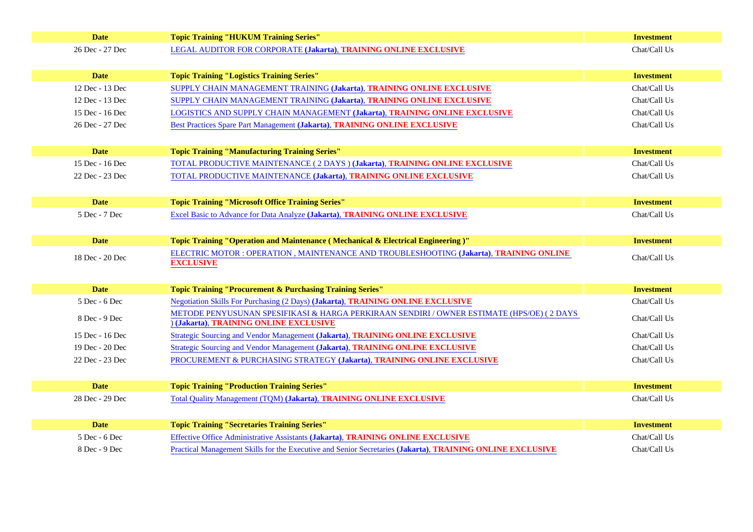| <b>Date</b>     | <b>Topic Training "HUKUM Training Series"</b>                                                        | Investment   |
|-----------------|------------------------------------------------------------------------------------------------------|--------------|
| 26 Dec - 27 Dec | LEGAL AUDITOR FOR CORPORATEJakarta), TRAINING ONLINE EXCLUSIVE                                       | Chat/Call Us |
|                 |                                                                                                      |              |
| <b>Date</b>     | <b>Topic Training "Logistics Training Series"</b>                                                    | Investment   |
| 12 Dec - 13 Dec | SUPPLY CHAIN MANAGEMENT TRAINING (Jakarta), TRAINING ONLINE EXCLUSIVE                                | Chat/Call Us |
| 12 Dec - 13 Dec | SUPPLY CHAIN MANAGEMENT TRAINING (Jakarta), TRAINING ONLINE EXCLUSIVE                                | Chat/Call Us |
| 15 Dec - 16 Dec | LOGISTICS AND SUPPLY CHAIN MANAGEMENT(Jakarta), TRAINING ONLINE EXCLUSIVE                            | Chat/Call Us |
| 26 Dec - 27 Dec | Best Practices Spare Part Managen (barkarta), TRAINING ONLINE EXCLUSIVE                              | Chat/Call Us |
|                 |                                                                                                      |              |
| <b>Date</b>     | <b>Topic Training "Manufacturing Training Series"</b>                                                | Investment   |
| 15 Dec - 16 Dec | TOTAL PRODUCTIVE MAINTENANCE (2 DAYS )(Jakarta), TRAINING ONLINE EXCLUSIVE                           | Chat/Call Us |
| 22 Dec - 23 Dec | TOTAL PRODUCTIVE MAINTENANCE (Jakarta), TRAINING ONLINE EXCLUSIVE                                    | Chat/Call Us |
|                 |                                                                                                      |              |
| <b>Date</b>     | <b>Topic Training "Microsoft Office Training Series"</b>                                             | Investment   |
| 5 Dec - 7 Dec   | Excel Basic to Advance for Data Analy a basic in TRAINING ONLINE EXCLUSIVE                           | Chat/Call Us |
|                 |                                                                                                      |              |
| <b>Date</b>     | Topic Training "Operation and Maintenance (Mechanical & Electrical Engineering)"                     | Investment   |
| 18 Dec - 20 Dec | ELECTRIC MOTOR : OPERATION, MAINTENANCE AND TROUBLESHOOTINGlakarta), TRAINING ONLINE                 | Chat/Call Us |
|                 | <b>EXCLUSIVE</b>                                                                                     |              |
|                 |                                                                                                      |              |
| <b>Date</b>     | Topic Training "Procurement & Purchasing Training Series"                                            | Investment   |
| 5 Dec - 6 Dec   | Negotiation Skills For Purchasing (2 Days akarta), TRAINING ONLINE EXCLUSIVE                         | Chat/Call Us |
| 8 Dec - 9 Dec   | METODE PENYUSUNAN SPESIFIKASI & HARGA PERKIRAAN SENDIRI / OWNER ESTIMATE (HPS/OE) (2 DAYS            | Chat/Call Us |
|                 | (Jakarta), TRAINING ONLINE EXCLUSIVE                                                                 |              |
| 15 Dec - 16 Dec | Strategic Sourcing and Vendor Managem(dakarta), TRAINING ONLINE EXCLUSIVE                            | Chat/Call Us |
| 19 Dec - 20 Dec | Strategic Sourcing and Vendor Managem(dakarta), TRAINING ONLINE EXCLUSIVE                            | Chat/Call Us |
| 22 Dec - 23 Dec | PROCUREMENT & PURCHASING STRATEGYJakarta), TRAINING ONLINE EXCLUSIVE                                 | Chat/Call Us |
|                 |                                                                                                      |              |
| <b>Date</b>     | <b>Topic Training "Production Training Series"</b>                                                   | Investment   |
| 28 Dec - 29 Dec | Total Quality Management (TQM) akarta), TRAINING ONLINE EXCLUSIVE                                    | Chat/Call Us |
|                 |                                                                                                      |              |
| <b>Date</b>     | <b>Topic Training "Secretaries Training Series"</b>                                                  | Investment   |
| 5 Dec - 6 Dec   | Effective Office Administrative Assistan(sakarta), TRAINING ONLINE EXCLUSIVE                         | Chat/Call Us |
| 8 Dec - 9 Dec   | Practical Management Skills for the Executive and Senior Secrettarlearta), TRAINING ONLINE EXCLUSIVE | Chat/Call Us |
|                 |                                                                                                      |              |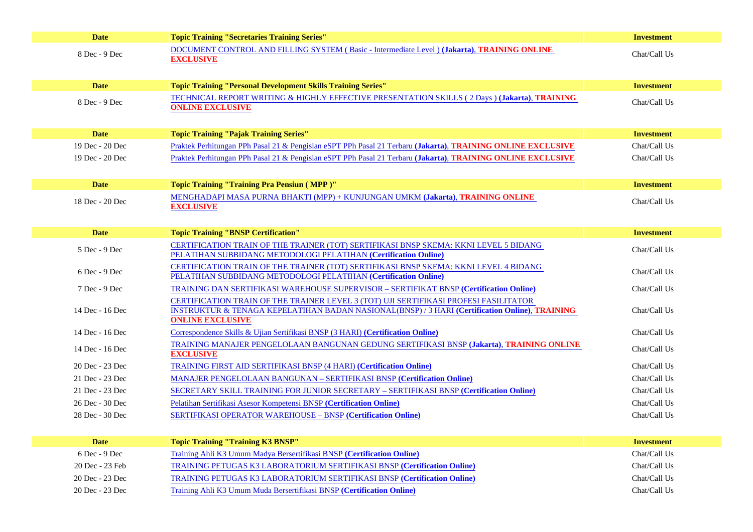| <b>Date</b>     | <b>Topic Training "Secretaries Training Series"</b>                                                                                                     | Investment   |
|-----------------|---------------------------------------------------------------------------------------------------------------------------------------------------------|--------------|
| 8 Dec - 9 Dec   | DOCUMENT CONTROL AND FILLING SYSTEM (Basic - Intermediate LevelJakarta), TRAINING ONLINE                                                                | Chat/Call Us |
|                 | <b>EXCLUSIVE</b>                                                                                                                                        |              |
|                 |                                                                                                                                                         |              |
| <b>Date</b>     | Topic Training "Personal Development Skills Training Series"                                                                                            | Investment   |
| 8 Dec - 9 Dec   | TECHNICAL REPORT WRITING & HIGHLY EFFECTIVE PRESENTATION SKILLS (2 Day Shakarta), TRAINING                                                              | Chat/Call Us |
|                 | <b>ONLINE EXCLUSIVE</b>                                                                                                                                 |              |
|                 |                                                                                                                                                         |              |
| <b>Date</b>     | <b>Topic Training "Pajak Training Series"</b>                                                                                                           | Investment   |
| 19 Dec - 20 Dec | Praktek Perhitungan PPh Pasal 21 & Pengisian eSPT PPh Pasal 21 (Darkarta), TRAINING ONLINE EXCLUSIVE                                                    | Chat/Call Us |
| 19 Dec - 20 Dec | Praktek Perhitungan PPh Pasal 21 & Pengisian eSPT PPh Pasal 21 (Darkarta), TRAINING ONLINE EXCLUSIVE                                                    | Chat/Call Us |
|                 |                                                                                                                                                         |              |
| <b>Date</b>     | Topic Training "Training Pra Pensiun (MPP)"                                                                                                             | Investment   |
| 18 Dec - 20 Dec | MENGHADAPI MASA PURNA BHAKTI (MPP) + KUNJUNGAN UMKM (Jakarta), TRAINING ONLINE                                                                          | Chat/Call Us |
|                 | <b>EXCLUSIVE</b>                                                                                                                                        |              |
|                 |                                                                                                                                                         |              |
| <b>Date</b>     | <b>Topic Training "BNSP Certification"</b>                                                                                                              | Investment   |
| 5 Dec - 9 Dec   | CERTIFICATION TRAIN OF THE TRAINER (TOT) SERTIFIKASI BNSP SKEMA: KKNI LEVEL 5 BIDANG<br>PELATIHAN SUBBIDANG METODOLOGI PELATIHAN (Certification Online) | Chat/Call Us |
|                 | CERTIFICATION TRAIN OF THE TRAINER (TOT) SERTIFIKASI BNSP SKEMA: KKNI LEVEL 4 BIDANG                                                                    |              |
| 6 Dec - 9 Dec   | PELATIHAN SUBBIDANG METODOLOGI PELATIHAN (Certification Online)                                                                                         | Chat/Call Us |
| 7 Dec - 9 Dec   | TRAINING DAN SERTIFIKASI WAREHOUSE SUPERVISOR - SERTIFIKAT BNS Pertification Online)                                                                    | Chat/Call Us |
|                 | CERTIFICATION TRAIN OF THE TRAINER LEVEL 3 (TOT) UJI SERTIFIKASI PROFESI FASILITATOR                                                                    |              |
| 14 Dec - 16 Dec | INSTRUKTUR & TENAGA KEPELATIHAN BADAN NASIONAL(BNSP) / 3 HARI(Certification Online), TRAINING                                                           | Chat/Call Us |
|                 | <b>ONLINE EXCLUSIVE</b>                                                                                                                                 |              |
| 14 Dec - 16 Dec | Correspondence Skills & Ujian Sertifikasi BNSP (3 HARC) ertification Online)                                                                            | Chat/Call Us |
| 14 Dec - 16 Dec | TRAINING MANAJER PENGELOLAAN BANGUNAN GEDUNG SERTIFIKASI BNSRJakarta), TRAINING ONLINE<br><b>EXCLUSIVE</b>                                              | Chat/Call Us |
| 20 Dec - 23 Dec | <b>TRAINING FIRST AID SERTIFIKASI BNSP (4 HARI) Certification Online)</b>                                                                               | Chat/Call Us |
| 21 Dec - 23 Dec | MANAJER PENGELOLAAN BANGUNAN - SERTIFIKASI BNSRCertification Online)                                                                                    | Chat/Call Us |
| 21 Dec - 23 Dec | SECRETARY SKILL TRAINING FOR JUNIOR SECRETARY - SERTIFIKASI BN\$Pertification Online)                                                                   | Chat/Call Us |
| 26 Dec - 30 Dec | Pelatihan Sertifikasi Asesor Kompetensi BNGPertification Online)                                                                                        | Chat/Call Us |
| 28 Dec - 30 Dec | <b>SERTIFIKASI OPERATOR WAREHOUSE - BNS Eertification Online)</b>                                                                                       | Chat/Call Us |
|                 |                                                                                                                                                         |              |
| <b>Date</b>     | <b>Topic Training "Training K3 BNSP"</b>                                                                                                                | Investment   |
| 6 Dec - 9 Dec   | Training Ahli K3 Umum Madya Bersertifikasi BNS Eertification Online)                                                                                    | Chat/Call Us |
| 20 Dec - 23 Feb | <b>TRAINING PETUGAS K3 LABORATORIUM SERTIFIKASI BNSPCertification Online)</b>                                                                           | Chat/Call Us |
| 20 Dec - 23 Dec | TRAINING PETUGAS K3 LABORATORIUM SERTIFIKASI BNSRCertification Online)                                                                                  | Chat/Call Us |
| 20 Dec - 23 Dec | Training Ahli K3 Umum Muda Bersertifikasi BNS (Certification Online)                                                                                    | Chat/Call Us |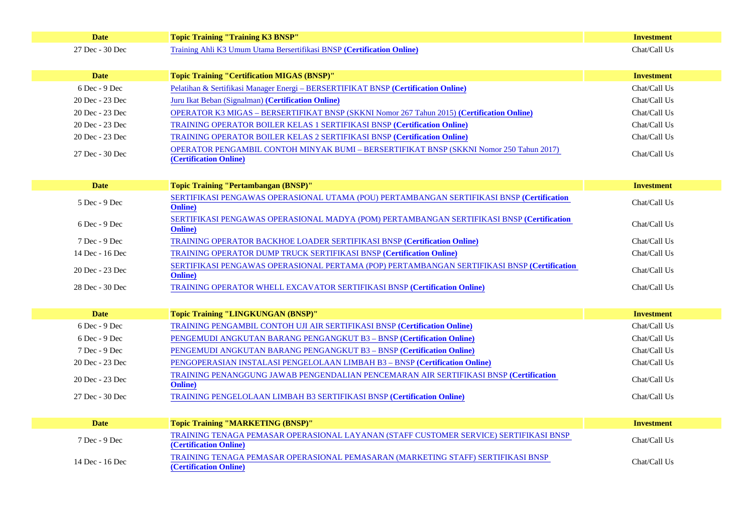| <b>Date</b>     | Topic Training "Training K3 BNSP"                                                                               | Investment   |
|-----------------|-----------------------------------------------------------------------------------------------------------------|--------------|
| 27 Dec - 30 Dec | Training Ahli K3 Umum Utama Bersertifikasi BNS Pertification Online)                                            | Chat/Call Us |
|                 |                                                                                                                 |              |
| <b>Date</b>     | Topic Training "Certification MIGAS (BNSP)"                                                                     | Investment   |
| 6 Dec - 9 Dec   | Pelatihan & Sertifikasi Manager Energi - BERSERTIFIKAT BNSPrtification Online)                                  | Chat/Call Us |
| 20 Dec - 23 Dec | Juru Ikat Beban (SignalmarCertification Online)                                                                 | Chat/Call Us |
| 20 Dec - 23 Dec | OPERATOR K3 MIGAS - BERSERTIFIKAT BNSP (SKKNI Nomor 267 Tahun 20 (Captification Online)                         | Chat/Call Us |
| 20 Dec - 23 Dec | TRAINING OPERATOR BOILER KELAS 1 SERTIFIKASI BNSFCertification Online)                                          | Chat/Call Us |
| 20 Dec - 23 Dec | TRAINING OPERATOR BOILER KELAS 2 SERTIFIKASI BNS(Certification Online)                                          | Chat/Call Us |
| 27 Dec - 30 Dec | OPERATOR PENGAMBIL CONTOH MINYAK BUMI - BERSERTIFIKAT BNSP (SKKNI Nomor 250 Tahun 2017)                         | Chat/Call Us |
|                 | (Certification Online)                                                                                          |              |
|                 |                                                                                                                 |              |
| <b>Date</b>     | Topic Training "Pertambangan (BNSP)"                                                                            | Investment   |
| 5 Dec - 9 Dec   | SERTIFIKASI PENGAWAS OPERASIONAL UTAMA (POU) PERTAMBANGAN SERTIFIKASI BNS Eertification                         | Chat/Call Us |
|                 | Online)                                                                                                         |              |
| 6 Dec - 9 Dec   | SERTIFIKASI PENGAWAS OPERASIONAL MADYA (POM) PERTAMBANGAN SERTIFIKASI BNSPEertification<br>Online)              | Chat/Call Us |
| 7 Dec - 9 Dec   | TRAINING OPERATOR BACKHOE LOADER SERTIFIKASI BNSFCertification Online)                                          | Chat/Call Us |
| 14 Dec - 16 Dec | <b>TRAINING OPERATOR DUMP TRUCK SERTIFIKASI BNSFCertification Online)</b>                                       | Chat/Call Us |
| 20 Dec - 23 Dec | SERTIFIKASI PENGAWAS OPERASIONAL PERTAMA (POP) PERTAMBANGAN SERTIFIKASI BN&Bertification<br>Online)             | Chat/Call Us |
| 28 Dec - 30 Dec | TRAINING OPERATOR WHELL EXCAVATOR SERTIFIKASI BNSPCertification Online)                                         | Chat/Call Us |
|                 |                                                                                                                 |              |
| <b>Date</b>     | Topic Training "LINGKUNGAN (BNSP)"                                                                              | Investment   |
| 6 Dec - 9 Dec   | TRAINING PENGAMBIL CONTOH UJI AIR SERTIFIKASI BNSR Certification Online)                                        | Chat/Call Us |
| 6 Dec - 9 Dec   | PENGEMUDI ANGKUTAN BARANG PENGANGKUT B3 - BNSRCertification Online)                                             | Chat/Call Us |
| 7 Dec - 9 Dec   | PENGEMUDI ANGKUTAN BARANG PENGANGKUT B3 - BNSIPCertification Online)                                            | Chat/Call Us |
| 20 Dec - 23 Dec | PENGOPERASIAN INSTALASI PENGELOLAAN LIMBAH B3 - BNSFCertification Online)                                       | Chat/Call Us |
|                 | TRAINING PENANGGUNG JAWAB PENGENDALIAN PENCEMARAN AIR SERTIFIKASI BNSFCertification                             |              |
| 20 Dec - 23 Dec | Online)                                                                                                         | Chat/Call Us |
| 27 Dec - 30 Dec | TRAINING PENGELOLAAN LIMBAH B3 SERTIFIKASI BNSP(Certification Online)                                           | Chat/Call Us |
|                 |                                                                                                                 |              |
| <b>Date</b>     | Topic Training "MARKETING (BNSP)"                                                                               | Investment   |
| 7 Dec - 9 Dec   | TRAINING TENAGA PEMASAR OPERASIONAL LAYANAN (STAFF CUSTOMER SERVICE) SERTIFIKASI BNSP<br>(Certification Online) | Chat/Call Us |
| 14 Dec - 16 Dec | TRAINING TENAGA PEMASAR OPERASIONAL PEMASARAN (MARKETING STAFF) SERTIFIKASI BNSP<br>(Certification Online)      | Chat/Call Us |